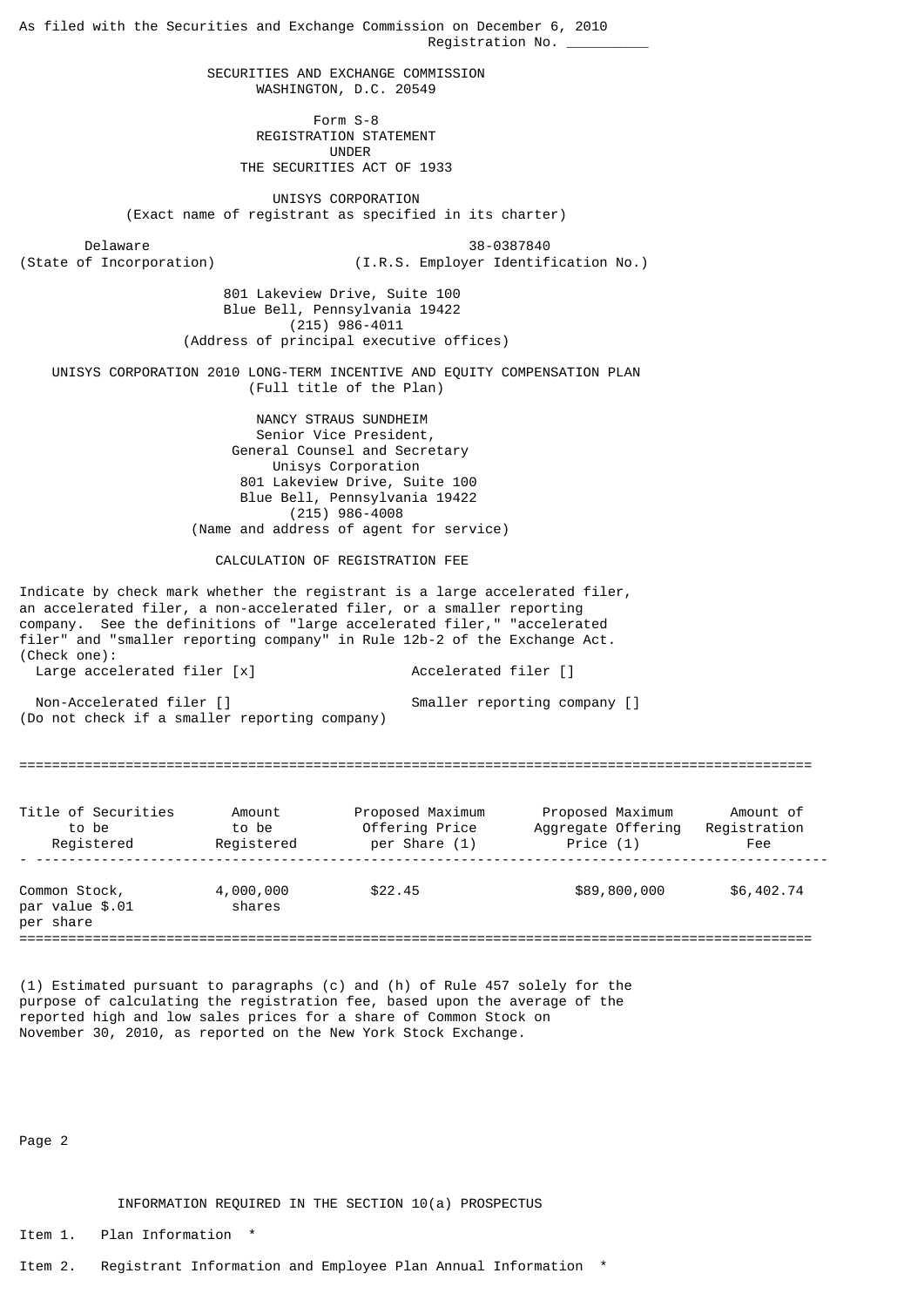As filed with the Securities and Exchange Commission on December 6, 2010 Registration No.  $\_\_$  SECURITIES AND EXCHANGE COMMISSION WASHINGTON, D.C. 20549 Form S-8 REGISTRATION STATEMENT UNDER THE SECURITIES ACT OF 1933 UNISYS CORPORATION (Exact name of registrant as specified in its charter) Delaware 38-0387840<br>(State of Incorporation) (I.R.S. Employer Identif (I.R.S. Employer Identification No.) 801 Lakeview Drive, Suite 100 Blue Bell, Pennsylvania 19422 (215) 986-4011 (Address of principal executive offices) UNISYS CORPORATION 2010 LONG-TERM INCENTIVE AND EQUITY COMPENSATION PLAN (Full title of the Plan) NANCY STRAUS SUNDHEIM Senior Vice President, General Counsel and Secretary Unisys Corporation 801 Lakeview Drive, Suite 100 Blue Bell, Pennsylvania 19422 (215) 986-4008 (Name and address of agent for service) CALCULATION OF REGISTRATION FEE Indicate by check mark whether the registrant is a large accelerated filer, an accelerated filer, a non-accelerated filer, or a smaller reporting company. See the definitions of "large accelerated filer," "accelerated filer" and "smaller reporting company" in Rule 12b-2 of the Exchange Act. (Check one): Large accelerated filer [x] Accelerated filer [] Non-Accelerated filer [] Smaller reporting company [] (Do not check if a smaller reporting company) ================================================================================================= Title of Securities Amount Proposed Maximum Proposed Maximum Amount of to be to be Offering Price Aggregate Offering Registration Registered Registered per Share (1) Price (1) Fee - ------------------------------------------------------------------------------------------------- Common Stock, 4,000,000 \$22.45 \$89,800,000 \$6,402.74 par value \$.01 shares per share =================================================================================================

(1) Estimated pursuant to paragraphs (c) and (h) of Rule 457 solely for the purpose of calculating the registration fee, based upon the average of the reported high and low sales prices for a share of Common Stock on November 30, 2010, as reported on the New York Stock Exchange.

Page 2

INFORMATION REQUIRED IN THE SECTION 10(a) PROSPECTUS

Item 1. Plan Information \*

Item 2. Registrant Information and Employee Plan Annual Information \*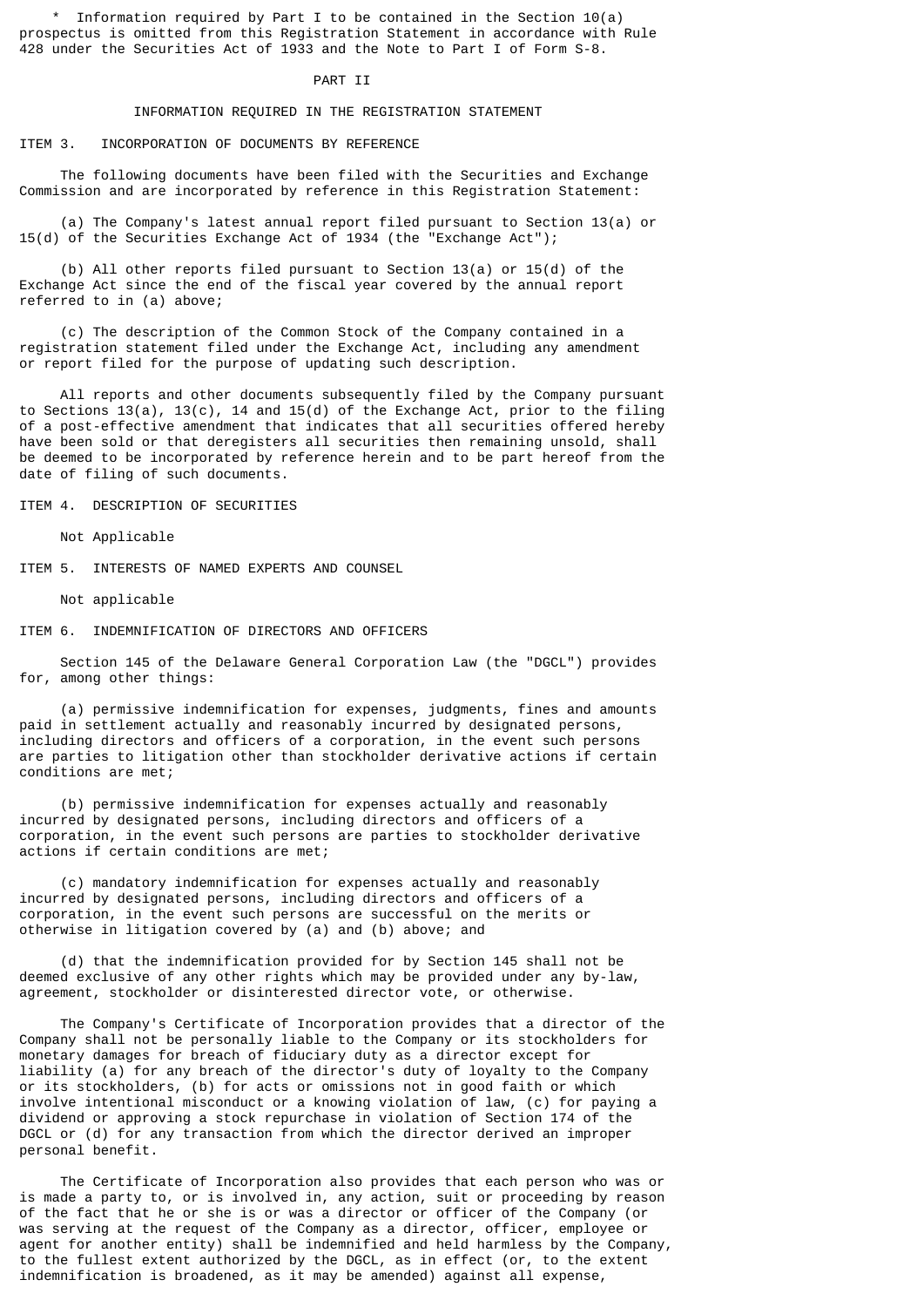Information required by Part I to be contained in the Section  $10(a)$ prospectus is omitted from this Registration Statement in accordance with Rule 428 under the Securities Act of 1933 and the Note to Part I of Form S-8.

## PART TT

## INFORMATION REQUIRED IN THE REGISTRATION STATEMENT

# ITEM 3. INCORPORATION OF DOCUMENTS BY REFERENCE

 The following documents have been filed with the Securities and Exchange Commission and are incorporated by reference in this Registration Statement:

 (a) The Company's latest annual report filed pursuant to Section 13(a) or 15(d) of the Securities Exchange Act of 1934 (the "Exchange Act");

 (b) All other reports filed pursuant to Section 13(a) or 15(d) of the Exchange Act since the end of the fiscal year covered by the annual report referred to in (a) above;

 (c) The description of the Common Stock of the Company contained in a registration statement filed under the Exchange Act, including any amendment or report filed for the purpose of updating such description.

 All reports and other documents subsequently filed by the Company pursuant to Sections  $13(a)$ ,  $13(c)$ ,  $14$  and  $15(d)$  of the Exchange Act, prior to the filing of a post-effective amendment that indicates that all securities offered hereby have been sold or that deregisters all securities then remaining unsold, shall be deemed to be incorporated by reference herein and to be part hereof from the date of filing of such documents.

ITEM 4. DESCRIPTION OF SECURITIES

Not Applicable

ITEM 5. INTERESTS OF NAMED EXPERTS AND COUNSEL

Not applicable

ITEM 6. INDEMNIFICATION OF DIRECTORS AND OFFICERS

 Section 145 of the Delaware General Corporation Law (the "DGCL") provides for, among other things:

 (a) permissive indemnification for expenses, judgments, fines and amounts paid in settlement actually and reasonably incurred by designated persons, including directors and officers of a corporation, in the event such persons are parties to litigation other than stockholder derivative actions if certain conditions are met;

 (b) permissive indemnification for expenses actually and reasonably incurred by designated persons, including directors and officers of a corporation, in the event such persons are parties to stockholder derivative actions if certain conditions are met;

 (c) mandatory indemnification for expenses actually and reasonably incurred by designated persons, including directors and officers of a corporation, in the event such persons are successful on the merits or otherwise in litigation covered by (a) and (b) above; and

 (d) that the indemnification provided for by Section 145 shall not be deemed exclusive of any other rights which may be provided under any by-law, agreement, stockholder or disinterested director vote, or otherwise.

 The Company's Certificate of Incorporation provides that a director of the Company shall not be personally liable to the Company or its stockholders for monetary damages for breach of fiduciary duty as a director except for liability (a) for any breach of the director's duty of loyalty to the Company or its stockholders, (b) for acts or omissions not in good faith or which involve intentional misconduct or a knowing violation of law, (c) for paying a dividend or approving a stock repurchase in violation of Section 174 of the DGCL or (d) for any transaction from which the director derived an improper personal benefit.

 The Certificate of Incorporation also provides that each person who was or is made a party to, or is involved in, any action, suit or proceeding by reason of the fact that he or she is or was a director or officer of the Company (or was serving at the request of the Company as a director, officer, employee or agent for another entity) shall be indemnified and held harmless by the Company, to the fullest extent authorized by the DGCL, as in effect (or, to the extent indemnification is broadened, as it may be amended) against all expense,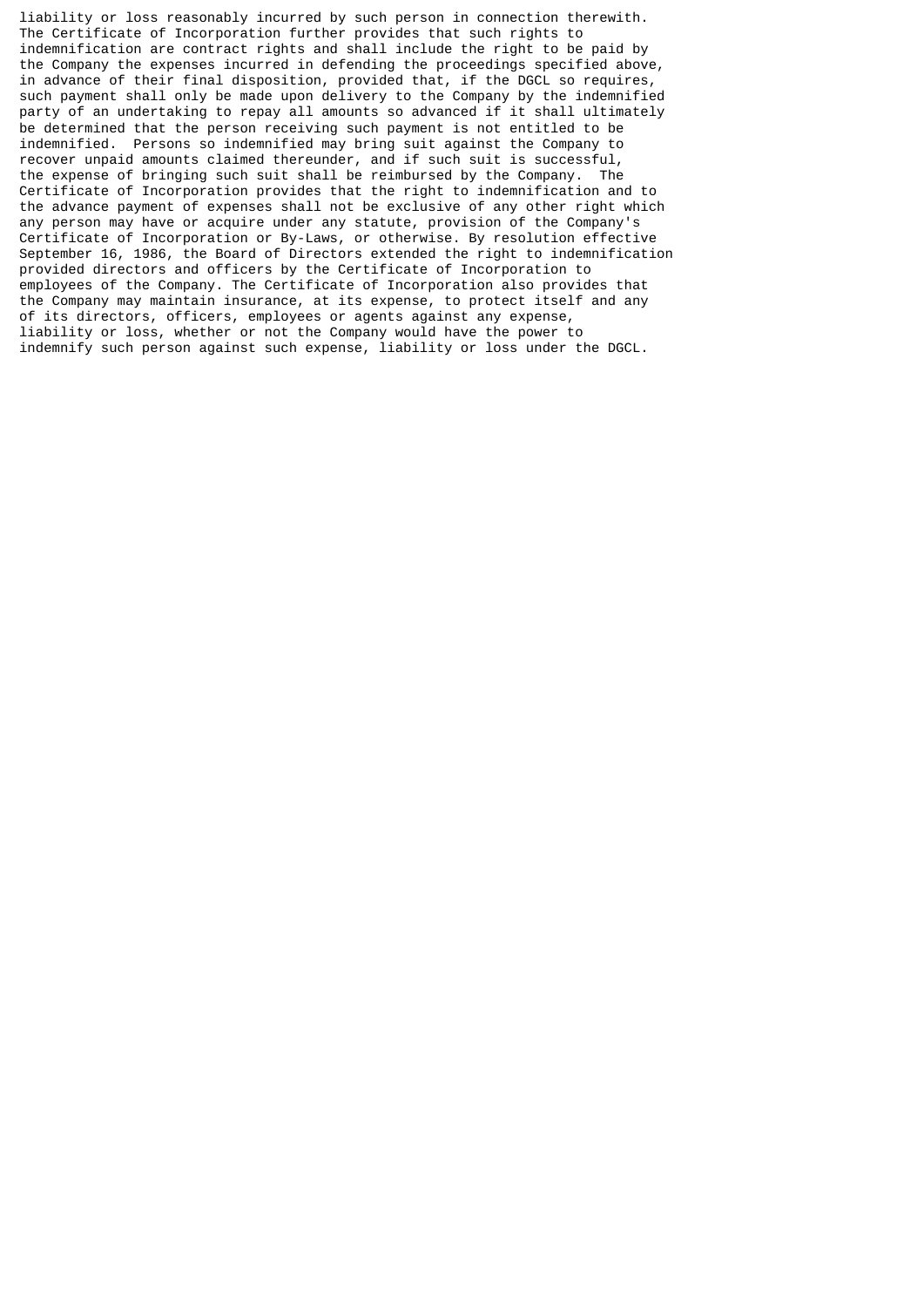liability or loss reasonably incurred by such person in connection therewith. The Certificate of Incorporation further provides that such rights to indemnification are contract rights and shall include the right to be paid by the Company the expenses incurred in defending the proceedings specified above, in advance of their final disposition, provided that, if the DGCL so requires, such payment shall only be made upon delivery to the Company by the indemnified party of an undertaking to repay all amounts so advanced if it shall ultimately be determined that the person receiving such payment is not entitled to be indemnified. Persons so indemnified may bring suit against the Company to recover unpaid amounts claimed thereunder, and if such suit is successful, the expense of bringing such suit shall be reimbursed by the Company. The Certificate of Incorporation provides that the right to indemnification and to the advance payment of expenses shall not be exclusive of any other right which any person may have or acquire under any statute, provision of the Company's Certificate of Incorporation or By-Laws, or otherwise. By resolution effective September 16, 1986, the Board of Directors extended the right to indemnification provided directors and officers by the Certificate of Incorporation to employees of the Company. The Certificate of Incorporation also provides that the Company may maintain insurance, at its expense, to protect itself and any of its directors, officers, employees or agents against any expense, liability or loss, whether or not the Company would have the power to indemnify such person against such expense, liability or loss under the DGCL.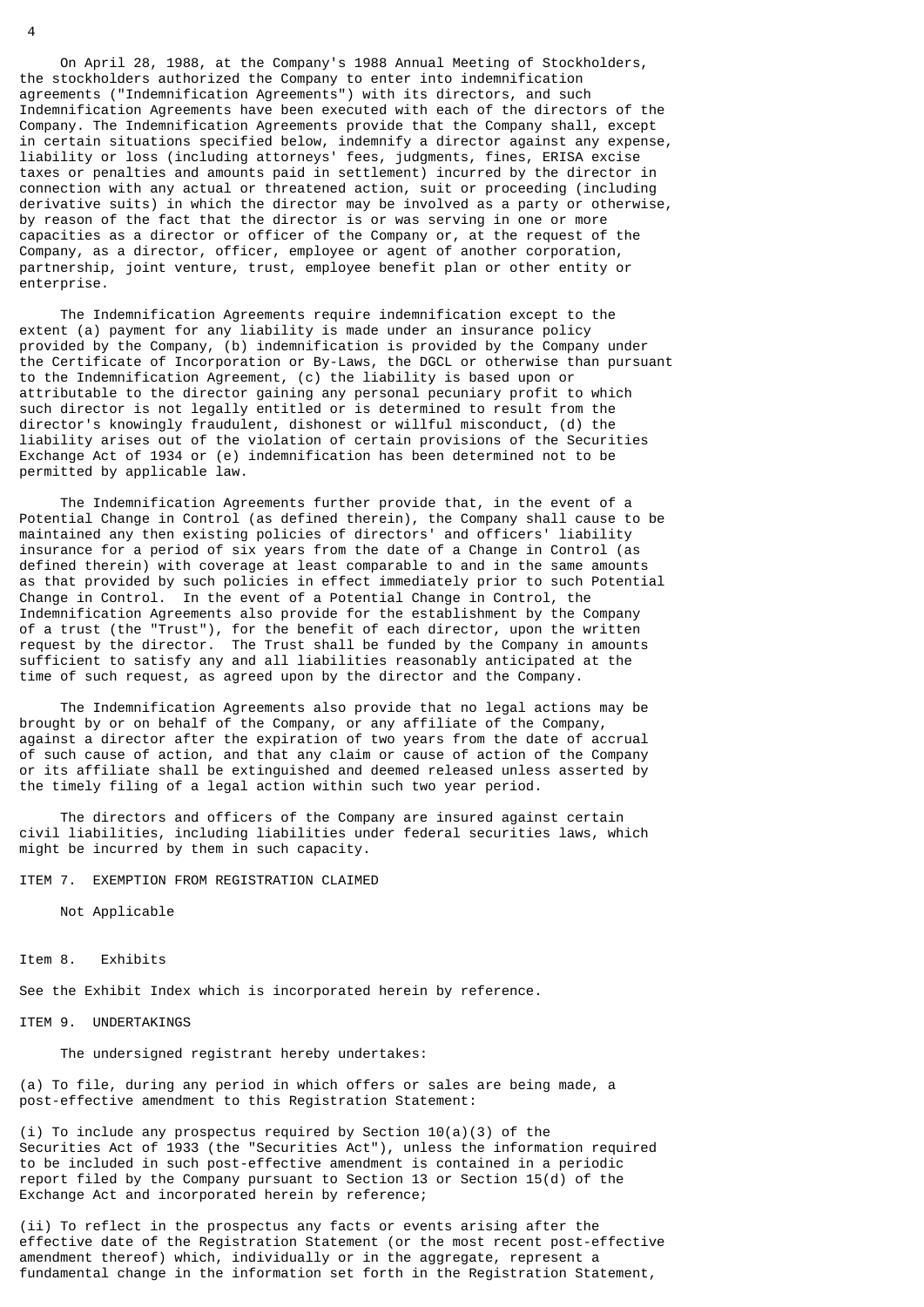On April 28, 1988, at the Company's 1988 Annual Meeting of Stockholders, the stockholders authorized the Company to enter into indemnification agreements ("Indemnification Agreements") with its directors, and such Indemnification Agreements have been executed with each of the directors of the Company. The Indemnification Agreements provide that the Company shall, except in certain situations specified below, indemnify a director against any expense, liability or loss (including attorneys' fees, judgments, fines, ERISA excise taxes or penalties and amounts paid in settlement) incurred by the director in connection with any actual or threatened action, suit or proceeding (including derivative suits) in which the director may be involved as a party or otherwise, by reason of the fact that the director is or was serving in one or more capacities as a director or officer of the Company or, at the request of the Company, as a director, officer, employee or agent of another corporation, partnership, joint venture, trust, employee benefit plan or other entity or enterprise.

 The Indemnification Agreements require indemnification except to the extent (a) payment for any liability is made under an insurance policy provided by the Company, (b) indemnification is provided by the Company under the Certificate of Incorporation or By-Laws, the DGCL or otherwise than pursuant to the Indemnification Agreement, (c) the liability is based upon or attributable to the director gaining any personal pecuniary profit to which such director is not legally entitled or is determined to result from the director's knowingly fraudulent, dishonest or willful misconduct, (d) the liability arises out of the violation of certain provisions of the Securities Exchange Act of 1934 or (e) indemnification has been determined not to be permitted by applicable law.

 The Indemnification Agreements further provide that, in the event of a Potential Change in Control (as defined therein), the Company shall cause to be maintained any then existing policies of directors' and officers' liability insurance for a period of six years from the date of a Change in Control (as defined therein) with coverage at least comparable to and in the same amounts as that provided by such policies in effect immediately prior to such Potential Change in Control. In the event of a Potential Change in Control, the Indemnification Agreements also provide for the establishment by the Company of a trust (the "Trust"), for the benefit of each director, upon the written request by the director. The Trust shall be funded by the Company in amounts sufficient to satisfy any and all liabilities reasonably anticipated at the time of such request, as agreed upon by the director and the Company.

 The Indemnification Agreements also provide that no legal actions may be brought by or on behalf of the Company, or any affiliate of the Company, against a director after the expiration of two years from the date of accrual of such cause of action, and that any claim or cause of action of the Company or its affiliate shall be extinguished and deemed released unless asserted by the timely filing of a legal action within such two year period.

 The directors and officers of the Company are insured against certain civil liabilities, including liabilities under federal securities laws, which might be incurred by them in such capacity.

## ITEM 7. EXEMPTION FROM REGISTRATION CLAIMED

Not Applicable

#### Item 8. Exhibits

See the Exhibit Index which is incorporated herein by reference.

#### ITEM 9. UNDERTAKINGS

The undersigned registrant hereby undertakes:

(a) To file, during any period in which offers or sales are being made, a post-effective amendment to this Registration Statement:

(i) To include any prospectus required by Section  $10(a)(3)$  of the Securities Act of 1933 (the "Securities Act"), unless the information required to be included in such post-effective amendment is contained in a periodic report filed by the Company pursuant to Section 13 or Section 15(d) of the Exchange Act and incorporated herein by reference;

(ii) To reflect in the prospectus any facts or events arising after the effective date of the Registration Statement (or the most recent post-effective amendment thereof) which, individually or in the aggregate, represent a fundamental change in the information set forth in the Registration Statement,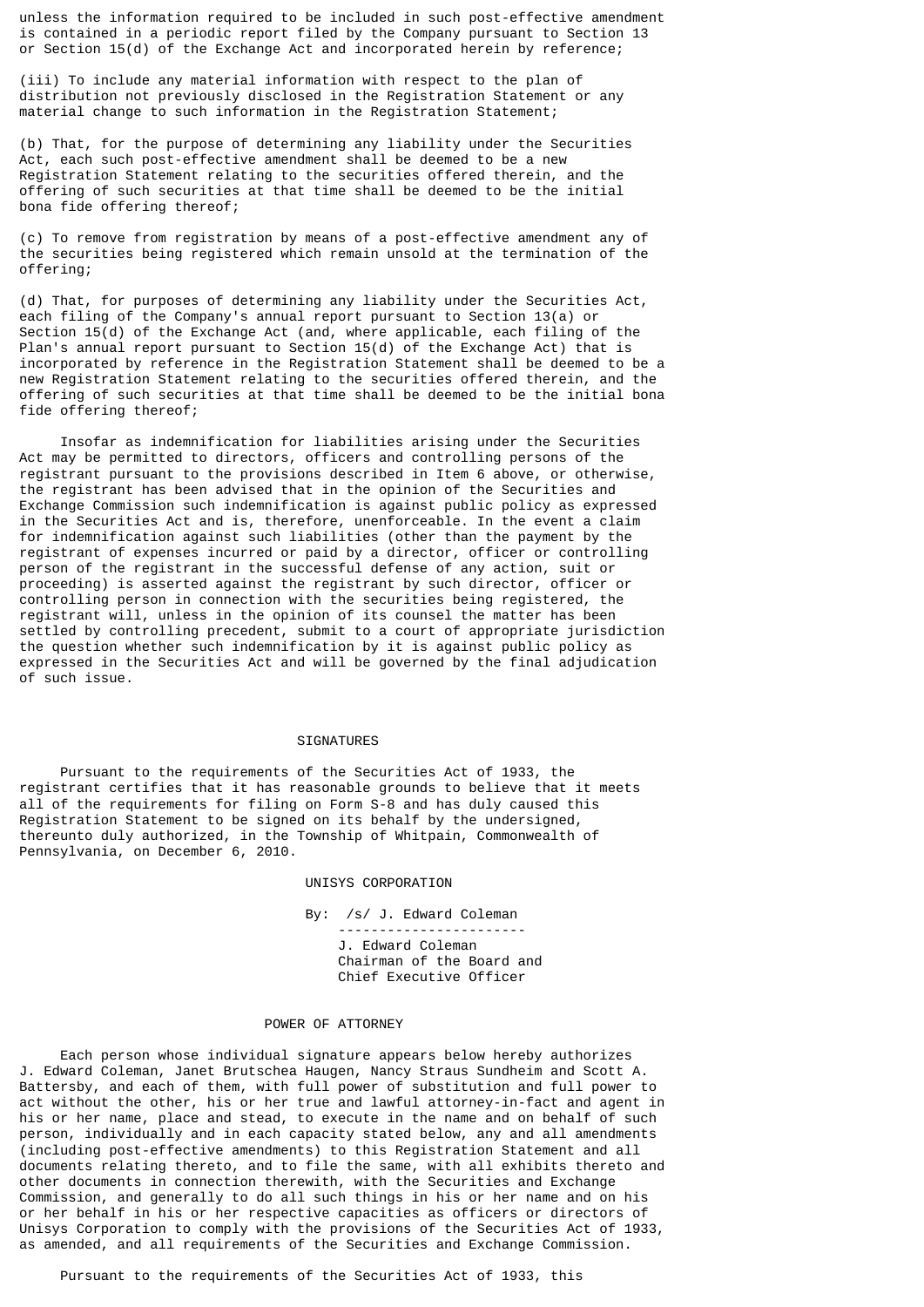unless the information required to be included in such post-effective amendment is contained in a periodic report filed by the Company pursuant to Section 13 or Section 15(d) of the Exchange Act and incorporated herein by reference;

(iii) To include any material information with respect to the plan of distribution not previously disclosed in the Registration Statement or any material change to such information in the Registration Statement;

(b) That, for the purpose of determining any liability under the Securities Act, each such post-effective amendment shall be deemed to be a new Registration Statement relating to the securities offered therein, and the offering of such securities at that time shall be deemed to be the initial bona fide offering thereof;

(c) To remove from registration by means of a post-effective amendment any of the securities being registered which remain unsold at the termination of the offering;

(d) That, for purposes of determining any liability under the Securities Act, each filing of the Company's annual report pursuant to Section 13(a) or Section  $15(d)$  of the Exchange Act (and, where applicable, each filing of the Plan's annual report pursuant to Section 15(d) of the Exchange Act) that is incorporated by reference in the Registration Statement shall be deemed to be a new Registration Statement relating to the securities offered therein, and the offering of such securities at that time shall be deemed to be the initial bona fide offering thereof;

 Insofar as indemnification for liabilities arising under the Securities Act may be permitted to directors, officers and controlling persons of the registrant pursuant to the provisions described in Item 6 above, or otherwise, the registrant has been advised that in the opinion of the Securities and Exchange Commission such indemnification is against public policy as expressed in the Securities Act and is, therefore, unenforceable. In the event a claim for indemnification against such liabilities (other than the payment by the registrant of expenses incurred or paid by a director, officer or controlling person of the registrant in the successful defense of any action, suit or proceeding) is asserted against the registrant by such director, officer or controlling person in connection with the securities being registered, the registrant will, unless in the opinion of its counsel the matter has been settled by controlling precedent, submit to a court of appropriate jurisdiction the question whether such indemnification by it is against public policy as expressed in the Securities Act and will be governed by the final adjudication of such issue.

## **SIGNATURES**

 Pursuant to the requirements of the Securities Act of 1933, the registrant certifies that it has reasonable grounds to believe that it meets all of the requirements for filing on Form S-8 and has duly caused this Registration Statement to be signed on its behalf by the undersigned, thereunto duly authorized, in the Township of Whitpain, Commonwealth of Pennsylvania, on December 6, 2010.

### UNISYS CORPORATION

By: /s/ J. Edward Coleman

 ----------------------- J. Edward Coleman Chairman of the Board and Chief Executive Officer

#### POWER OF ATTORNEY

 Each person whose individual signature appears below hereby authorizes J. Edward Coleman, Janet Brutschea Haugen, Nancy Straus Sundheim and Scott A. Battersby, and each of them, with full power of substitution and full power to act without the other, his or her true and lawful attorney-in-fact and agent in his or her name, place and stead, to execute in the name and on behalf of such person, individually and in each capacity stated below, any and all amendments (including post-effective amendments) to this Registration Statement and all documents relating thereto, and to file the same, with all exhibits thereto and other documents in connection therewith, with the Securities and Exchange Commission, and generally to do all such things in his or her name and on his or her behalf in his or her respective capacities as officers or directors of Unisys Corporation to comply with the provisions of the Securities Act of 1933, as amended, and all requirements of the Securities and Exchange Commission.

Pursuant to the requirements of the Securities Act of 1933, this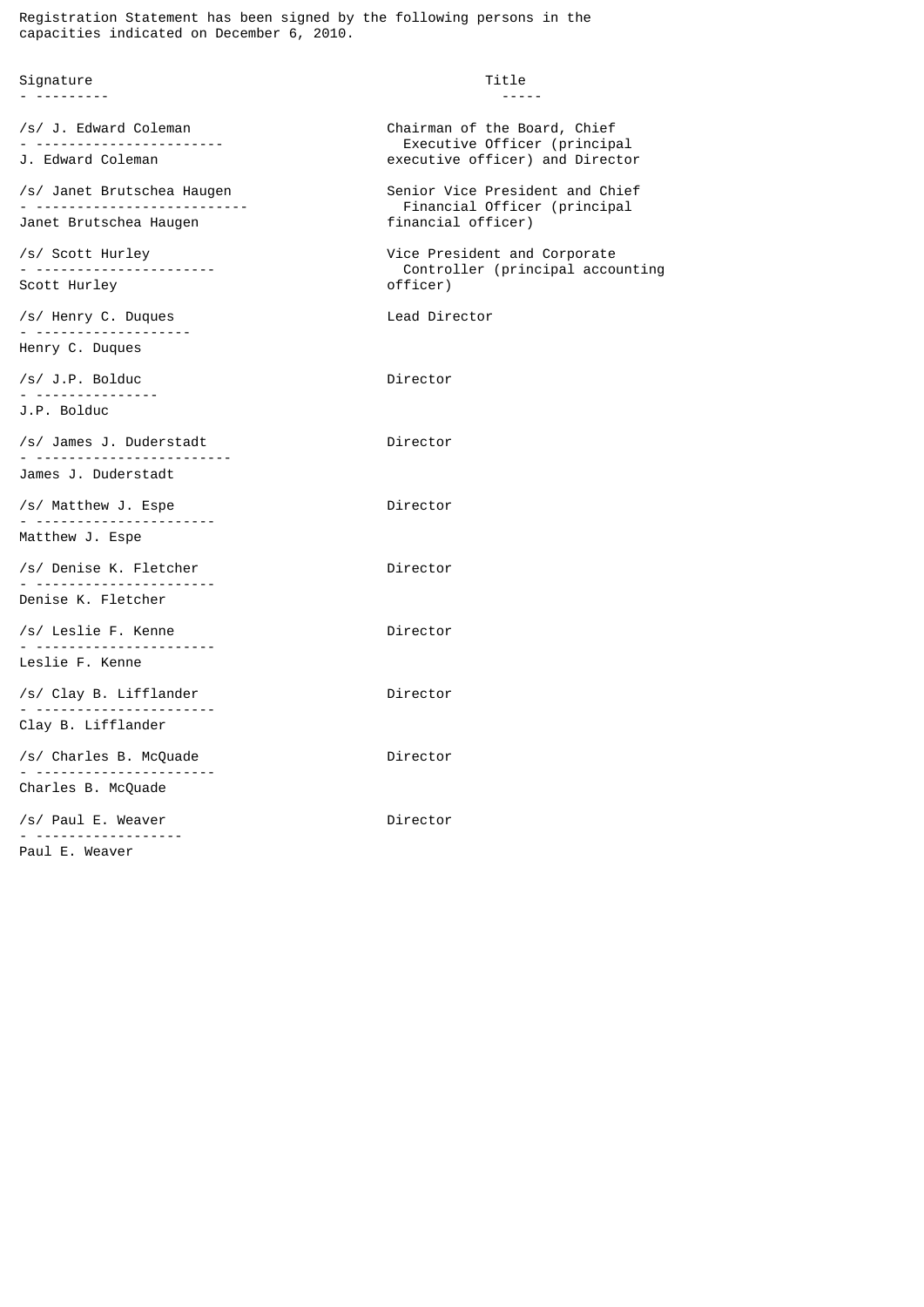Registration Statement has been signed by the following persons in the capacities indicated on December 6, 2010.

| Signature<br>. <b>.</b>                                     | Title<br>-----                                                                                  |
|-------------------------------------------------------------|-------------------------------------------------------------------------------------------------|
| /s/ J. Edward Coleman<br>J. Edward Coleman                  | Chairman of the Board, Chief<br>Executive Officer (principal<br>executive officer) and Director |
| /s/ Janet Brutschea Haugen<br>Janet Brutschea Haugen        | Senior Vice President and Chief<br>Financial Officer (principal<br>financial officer)           |
| /s/ Scott Hurley<br>Scott Hurley                            | Vice President and Corporate<br>Controller (principal accounting<br>officer)                    |
| /s/ Henry C. Duques<br>. <u>.</u><br>Henry C. Duques        | Lead Director                                                                                   |
| /s/ J.P. Bolduc<br><u>.</u><br>J.P. Bolduc                  | Director                                                                                        |
| /s/ James J. Duderstadt<br><u>. </u><br>James J. Duderstadt | Director                                                                                        |
| /s/ Matthew J. Espe<br><u>. </u>                            | Director                                                                                        |
| Matthew J. Espe                                             |                                                                                                 |
| /s/ Denise K. Fletcher<br>.                                 | Director                                                                                        |
| Denise K. Fletcher                                          |                                                                                                 |
| /s/ Leslie F. Kenne<br>Leslie F. Kenne                      | Director                                                                                        |
| /s/ Clay B. Lifflander<br>Clay B. Lifflander                | Director                                                                                        |
| /s/ Charles B. McQuade                                      | Director                                                                                        |
| Charles B. McQuade                                          |                                                                                                 |
| /s/ Paul E. Weaver<br><u>.</u>                              | Director                                                                                        |
| Paul E. Weaver                                              |                                                                                                 |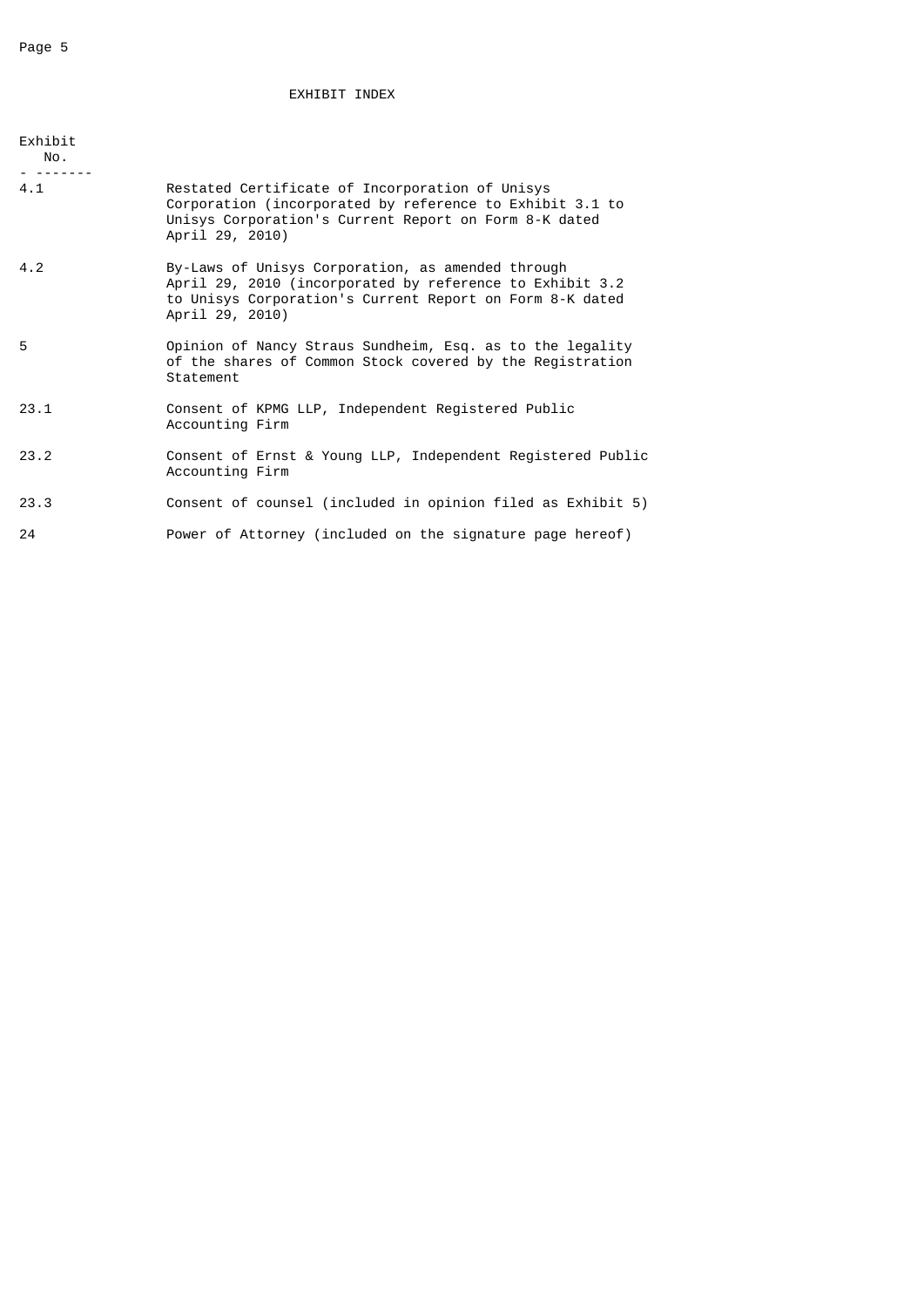# EXHIBIT INDEX

| Exhibit<br>No.<br>- ------- |                                                                                                                                                                                              |
|-----------------------------|----------------------------------------------------------------------------------------------------------------------------------------------------------------------------------------------|
| 4.1                         | Restated Certificate of Incorporation of Unisys<br>Corporation (incorporated by reference to Exhibit 3.1 to<br>Unisys Corporation's Current Report on Form 8-K dated<br>April 29, 2010)      |
| 4.2                         | By-Laws of Unisys Corporation, as amended through<br>April 29, 2010 (incorporated by reference to Exhibit 3.2<br>to Unisys Corporation's Current Report on Form 8-K dated<br>April 29, 2010) |
| 5                           | Opinion of Nancy Straus Sundheim, Esq. as to the legality<br>of the shares of Common Stock covered by the Registration<br>Statement                                                          |
| 23.1                        | Consent of KPMG LLP, Independent Registered Public<br>Accounting Firm                                                                                                                        |
| 23.2                        | Consent of Ernst & Young LLP, Independent Registered Public<br>Accounting Firm                                                                                                               |
| 23.3                        | Consent of counsel (included in opinion filed as Exhibit 5)                                                                                                                                  |
| 24                          | Power of Attorney (included on the signature page hereof)                                                                                                                                    |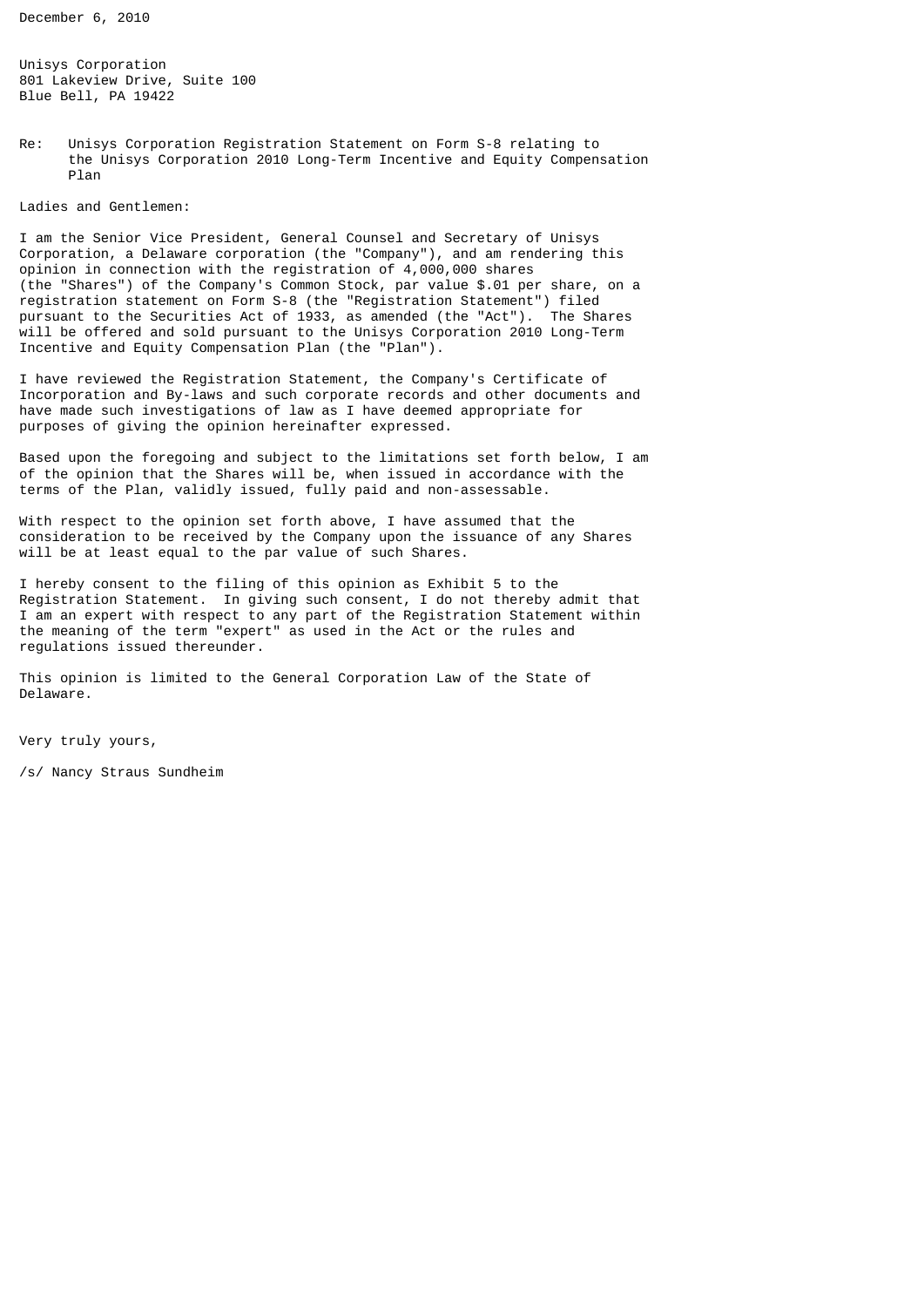December 6, 2010

Unisys Corporation 801 Lakeview Drive, Suite 100 Blue Bell, PA 19422

Re: Unisys Corporation Registration Statement on Form S-8 relating to the Unisys Corporation 2010 Long-Term Incentive and Equity Compensation Plan

Ladies and Gentlemen:

I am the Senior Vice President, General Counsel and Secretary of Unisys Corporation, a Delaware corporation (the "Company"), and am rendering this opinion in connection with the registration of 4,000,000 shares (the "Shares") of the Company's Common Stock, par value \$.01 per share, on a registration statement on Form S-8 (the "Registration Statement") filed pursuant to the Securities Act of 1933, as amended (the "Act"). The Shares will be offered and sold pursuant to the Unisys Corporation 2010 Long-Term Incentive and Equity Compensation Plan (the "Plan").

I have reviewed the Registration Statement, the Company's Certificate of Incorporation and By-laws and such corporate records and other documents and have made such investigations of law as I have deemed appropriate for purposes of giving the opinion hereinafter expressed.

Based upon the foregoing and subject to the limitations set forth below, I am of the opinion that the Shares will be, when issued in accordance with the terms of the Plan, validly issued, fully paid and non-assessable.

With respect to the opinion set forth above, I have assumed that the consideration to be received by the Company upon the issuance of any Shares will be at least equal to the par value of such Shares.

I hereby consent to the filing of this opinion as Exhibit 5 to the Registration Statement. In giving such consent, I do not thereby admit that I am an expert with respect to any part of the Registration Statement within the meaning of the term "expert" as used in the Act or the rules and regulations issued thereunder.

This opinion is limited to the General Corporation Law of the State of Delaware.

Very truly yours,

/s/ Nancy Straus Sundheim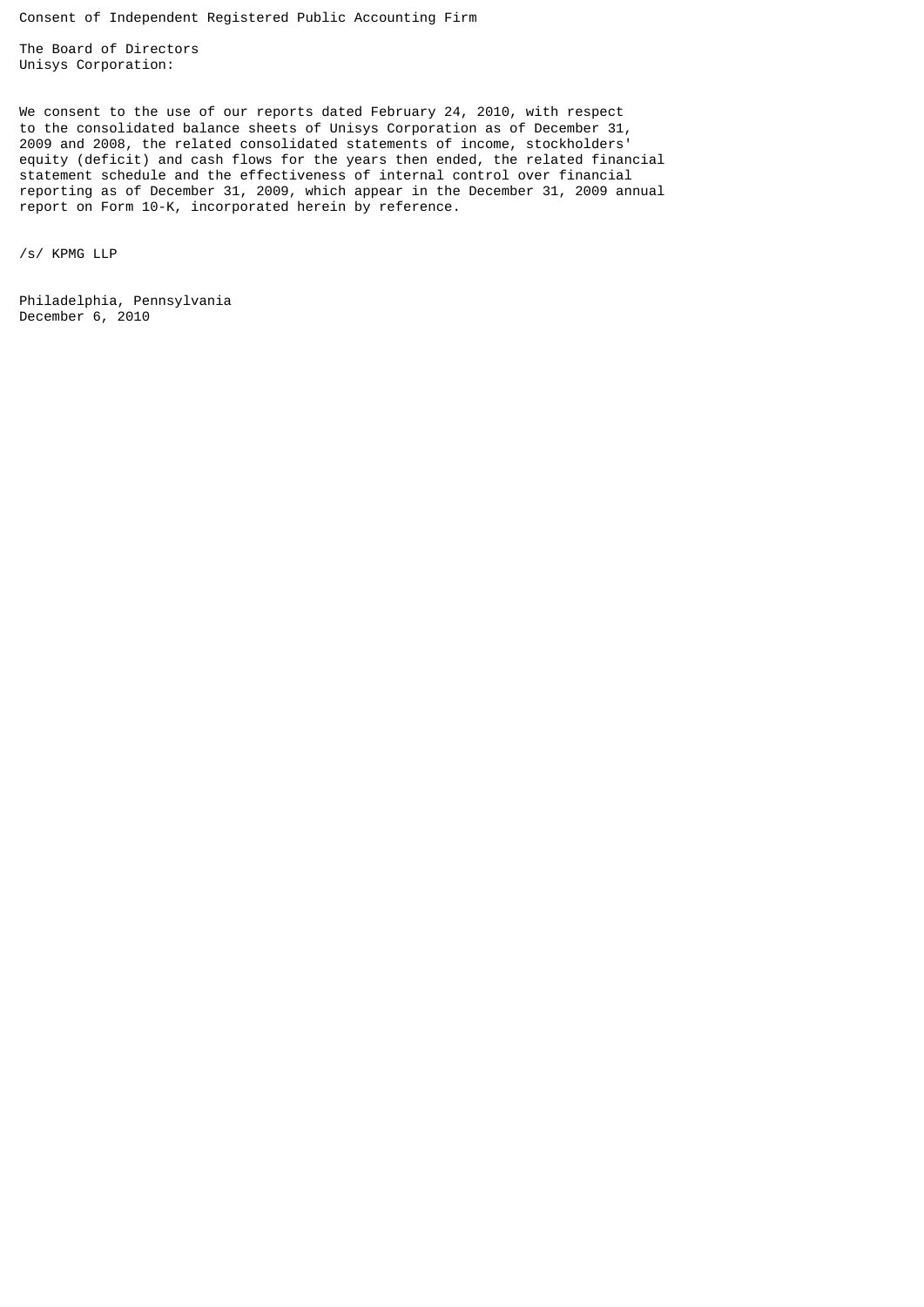Consent of Independent Registered Public Accounting Firm

The Board of Directors Unisys Corporation:

We consent to the use of our reports dated February 24, 2010, with respect to the consolidated balance sheets of Unisys Corporation as of December 31, 2009 and 2008, the related consolidated statements of income, stockholders' equity (deficit) and cash flows for the years then ended, the related financial statement schedule and the effectiveness of internal control over financial reporting as of December 31, 2009, which appear in the December 31, 2009 annual report on Form 10-K, incorporated herein by reference.

/s/ KPMG LLP

Philadelphia, Pennsylvania December 6, 2010